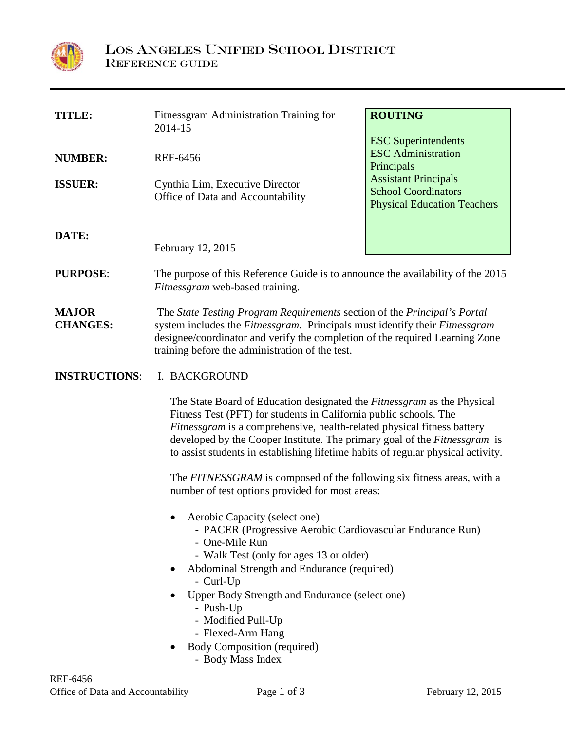

| <b>TITLE:</b>                   | Fitnessgram Administration Training for<br>2014-15                                                                                                                                                                                                                                                                                                                                                                                                                 | <b>ROUTING</b>                                                                                  |
|---------------------------------|--------------------------------------------------------------------------------------------------------------------------------------------------------------------------------------------------------------------------------------------------------------------------------------------------------------------------------------------------------------------------------------------------------------------------------------------------------------------|-------------------------------------------------------------------------------------------------|
| <b>NUMBER:</b>                  | <b>REF-6456</b>                                                                                                                                                                                                                                                                                                                                                                                                                                                    | <b>ESC</b> Superintendents<br><b>ESC</b> Administration<br>Principals                           |
| <b>ISSUER:</b>                  | Cynthia Lim, Executive Director<br>Office of Data and Accountability                                                                                                                                                                                                                                                                                                                                                                                               | <b>Assistant Principals</b><br><b>School Coordinators</b><br><b>Physical Education Teachers</b> |
| DATE:                           | February 12, 2015                                                                                                                                                                                                                                                                                                                                                                                                                                                  |                                                                                                 |
| <b>PURPOSE:</b>                 | The purpose of this Reference Guide is to announce the availability of the 2015<br>Fitnessgram web-based training.                                                                                                                                                                                                                                                                                                                                                 |                                                                                                 |
| <b>MAJOR</b><br><b>CHANGES:</b> | The State Testing Program Requirements section of the Principal's Portal<br>system includes the Fitnessgram. Principals must identify their Fitnessgram<br>designee/coordinator and verify the completion of the required Learning Zone<br>training before the administration of the test.                                                                                                                                                                         |                                                                                                 |
| <b>INSTRUCTIONS:</b>            | I. BACKGROUND                                                                                                                                                                                                                                                                                                                                                                                                                                                      |                                                                                                 |
|                                 | The State Board of Education designated the Fitnessgram as the Physical<br>Fitness Test (PFT) for students in California public schools. The<br>Fitnessgram is a comprehensive, health-related physical fitness battery<br>developed by the Cooper Institute. The primary goal of the Fitnessgram is<br>to assist students in establishing lifetime habits of regular physical activity.<br>The FITNESSGRAM is composed of the following six fitness areas, with a |                                                                                                 |
|                                 | number of test options provided for most areas:                                                                                                                                                                                                                                                                                                                                                                                                                    |                                                                                                 |
|                                 | Aerobic Capacity (select one)<br>- PACER (Progressive Aerobic Cardiovascular Endurance Run)<br>- One-Mile Run<br>- Walk Test (only for ages 13 or older)<br>Abdominal Strength and Endurance (required)<br>$\bullet$<br>- Curl-Up<br>Upper Body Strength and Endurance (select one)                                                                                                                                                                                |                                                                                                 |
|                                 | - Push-Up<br>- Modified Pull-Up<br>- Flexed-Arm Hang<br><b>Body Composition (required)</b><br>$\bullet$<br>- Body Mass Index                                                                                                                                                                                                                                                                                                                                       |                                                                                                 |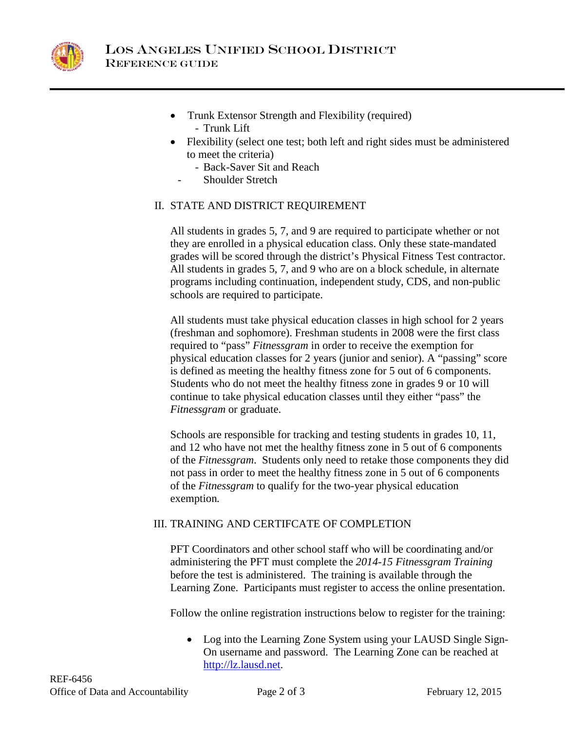

- Trunk Extensor Strength and Flexibility (required) - Trunk Lift
- Flexibility (select one test; both left and right sides must be administered to meet the criteria)
	- Back-Saver Sit and Reach
	- Shoulder Stretch

## II. STATE AND DISTRICT REQUIREMENT

All students in grades 5, 7, and 9 are required to participate whether or not they are enrolled in a physical education class. Only these state-mandated grades will be scored through the district's Physical Fitness Test contractor. All students in grades 5, 7, and 9 who are on a block schedule, in alternate programs including continuation, independent study, CDS, and non-public schools are required to participate.

All students must take physical education classes in high school for 2 years (freshman and sophomore). Freshman students in 2008 were the first class required to "pass" *Fitnessgram* in order to receive the exemption for physical education classes for 2 years (junior and senior). A "passing" score is defined as meeting the healthy fitness zone for 5 out of 6 components. Students who do not meet the healthy fitness zone in grades 9 or 10 will continue to take physical education classes until they either "pass" the *Fitnessgram* or graduate.

Schools are responsible for tracking and testing students in grades 10, 11, and 12 who have not met the healthy fitness zone in 5 out of 6 components of the *Fitnessgram*. Students only need to retake those components they did not pass in order to meet the healthy fitness zone in 5 out of 6 components of the *Fitnessgram* to qualify for the two-year physical education exemption*.* 

## III. TRAINING AND CERTIFCATE OF COMPLETION

PFT Coordinators and other school staff who will be coordinating and/or administering the PFT must complete the *2014-15 Fitnessgram Training* before the test is administered. The training is available through the Learning Zone. Participants must register to access the online presentation.

Follow the online registration instructions below to register for the training:

• Log into the Learning Zone System using your LAUSD Single Sign-On username and password. The Learning Zone can be reached at [http://lz.lausd.net.](http://lz.lausd.net/)